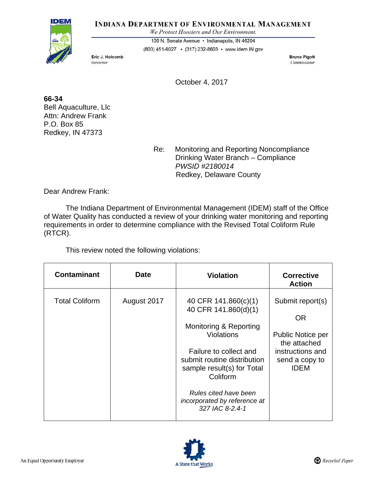#### **INDIANA DEPARTMENT OF ENVIRONMENTAL MANAGEMENT**

We Protect Hoosiers and Our Environment.



100 N. Senate Avenue · Indianapolis, IN 46204

(800) 451-6027 • (317) 232-8603 • www.idem.IN.gov

Eric J. Holcomb Governor

**Bruno Pigott** Commissioner

October 4, 2017

**66-34**  Bell Aquaculture, Llc Attn: Andrew Frank P.O. Box 85 Redkey, IN 47373

> Re: Monitoring and Reporting Noncompliance Drinking Water Branch – Compliance *PWSID #2180014* Redkey, Delaware County

Dear Andrew Frank:

The Indiana Department of Environmental Management (IDEM) staff of the Office of Water Quality has conducted a review of your drinking water monitoring and reporting requirements in order to determine compliance with the Revised Total Coliform Rule (RTCR).

This review noted the following violations:

| <b>Contaminant</b>    | <b>Date</b> | <b>Violation</b>                                                                                | <b>Corrective</b><br><b>Action</b>                |
|-----------------------|-------------|-------------------------------------------------------------------------------------------------|---------------------------------------------------|
| <b>Total Coliform</b> | August 2017 | 40 CFR 141.860(c)(1)<br>40 CFR 141.860(d)(1)                                                    | Submit report(s)                                  |
|                       |             |                                                                                                 | 0R                                                |
|                       |             | Monitoring & Reporting                                                                          |                                                   |
|                       |             | <b>Violations</b>                                                                               | <b>Public Notice per</b><br>the attached          |
|                       |             | Failure to collect and<br>submit routine distribution<br>sample result(s) for Total<br>Coliform | instructions and<br>send a copy to<br><b>IDEM</b> |
|                       |             | Rules cited have been<br>incorporated by reference at<br>327 IAC 8-2.4-1                        |                                                   |

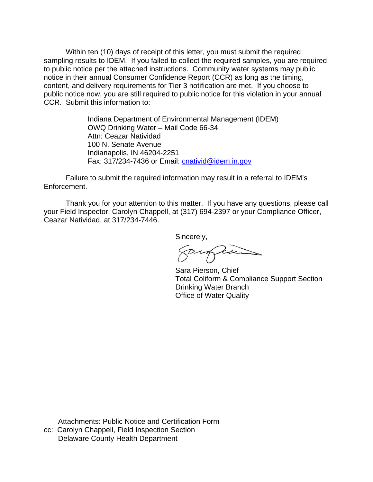Within ten (10) days of receipt of this letter, you must submit the required sampling results to IDEM. If you failed to collect the required samples, you are required to public notice per the attached instructions. Community water systems may public notice in their annual Consumer Confidence Report (CCR) as long as the timing, content, and delivery requirements for Tier 3 notification are met. If you choose to public notice now, you are still required to public notice for this violation in your annual CCR. Submit this information to:

> Indiana Department of Environmental Management (IDEM) OWQ Drinking Water – Mail Code 66-34 Attn: Ceazar Natividad 100 N. Senate Avenue Indianapolis, IN 46204-2251 Fax: 317/234-7436 or Email: cnativid@idem.in.gov

Failure to submit the required information may result in a referral to IDEM's Enforcement.

 Thank you for your attention to this matter. If you have any questions, please call your Field Inspector, Carolyn Chappell, at (317) 694-2397 or your Compliance Officer, Ceazar Natividad, at 317/234-7446.

Sincerely,

augues

 Sara Pierson, Chief Total Coliform & Compliance Support Section Drinking Water Branch Office of Water Quality

 Attachments: Public Notice and Certification Form cc: Carolyn Chappell, Field Inspection Section Delaware County Health Department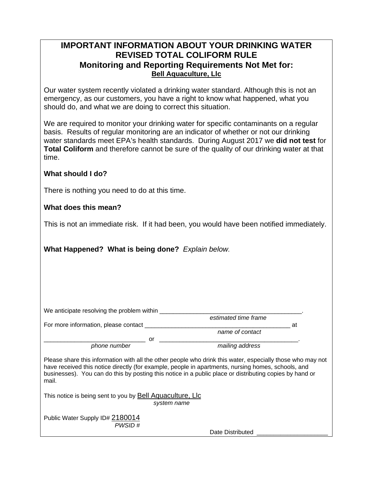# **IMPORTANT INFORMATION ABOUT YOUR DRINKING WATER REVISED TOTAL COLIFORM RULE Monitoring and Reporting Requirements Not Met for: Bell Aquaculture, Llc**

Our water system recently violated a drinking water standard. Although this is not an emergency, as our customers, you have a right to know what happened, what you should do, and what we are doing to correct this situation.

We are required to monitor your drinking water for specific contaminants on a regular basis. Results of regular monitoring are an indicator of whether or not our drinking water standards meet EPA's health standards. During August 2017 we **did not test** for **Total Coliform** and therefore cannot be sure of the quality of our drinking water at that time.

## **What should I do?**

There is nothing you need to do at this time.

## **What does this mean?**

This is not an immediate risk. If it had been, you would have been notified immediately.

**What Happened? What is being done?** *Explain below.* 

| We anticipate resolving the problem within                                                                                                                                                                                                                                                                                           |                      |  |  |  |  |  |
|--------------------------------------------------------------------------------------------------------------------------------------------------------------------------------------------------------------------------------------------------------------------------------------------------------------------------------------|----------------------|--|--|--|--|--|
|                                                                                                                                                                                                                                                                                                                                      | estimated time frame |  |  |  |  |  |
| For more information, please contact                                                                                                                                                                                                                                                                                                 | at                   |  |  |  |  |  |
|                                                                                                                                                                                                                                                                                                                                      | name of contact      |  |  |  |  |  |
| or                                                                                                                                                                                                                                                                                                                                   |                      |  |  |  |  |  |
| phone number                                                                                                                                                                                                                                                                                                                         | mailing address      |  |  |  |  |  |
| Please share this information with all the other people who drink this water, especially those who may not<br>have received this notice directly (for example, people in apartments, nursing homes, schools, and<br>businesses). You can do this by posting this notice in a public place or distributing copies by hand or<br>mail. |                      |  |  |  |  |  |
| This notice is being sent to you by Bell Aquaculture, LIc<br>system name                                                                                                                                                                                                                                                             |                      |  |  |  |  |  |
| Public Water Supply ID# 2180014<br>PWSID #                                                                                                                                                                                                                                                                                           |                      |  |  |  |  |  |
|                                                                                                                                                                                                                                                                                                                                      | Date Distributed     |  |  |  |  |  |